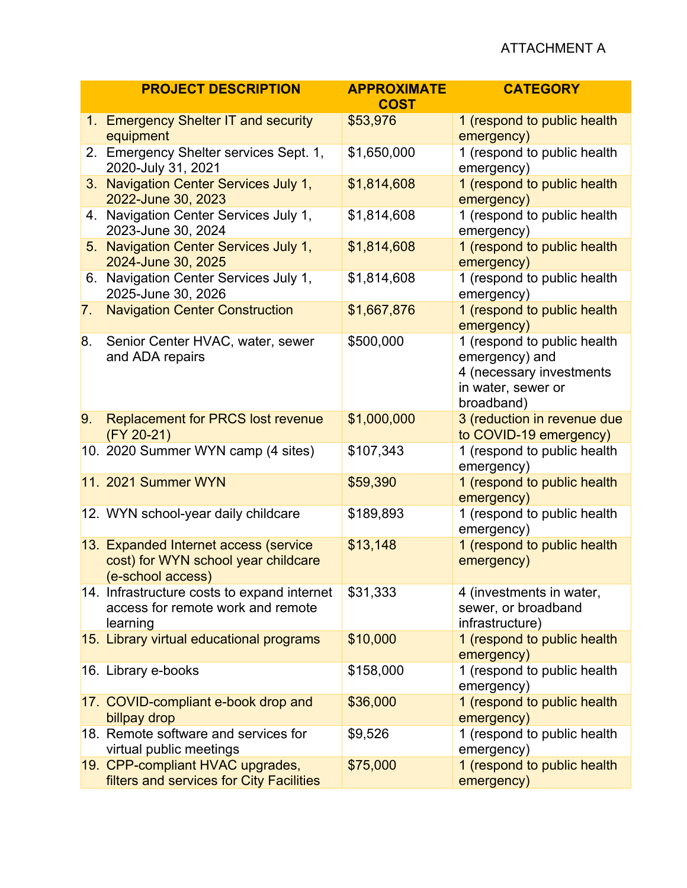## ATTACHMENT A

|                | <b>PROJECT DESCRIPTION</b>                                                                        | <b>APPROXIMATE</b><br><b>COST</b> | <b>CATEGORY</b>                                                                                               |
|----------------|---------------------------------------------------------------------------------------------------|-----------------------------------|---------------------------------------------------------------------------------------------------------------|
|                | 1. Emergency Shelter IT and security<br>equipment                                                 | \$53,976                          | 1 (respond to public health<br>emergency)                                                                     |
|                | 2. Emergency Shelter services Sept. 1,<br>2020-July 31, 2021                                      | \$1,650,000                       | 1 (respond to public health<br>emergency)                                                                     |
|                | 3. Navigation Center Services July 1,<br>2022-June 30, 2023                                       | \$1,814,608                       | 1 (respond to public health<br>emergency)                                                                     |
|                | 4. Navigation Center Services July 1,<br>2023-June 30, 2024                                       | \$1,814,608                       | 1 (respond to public health<br>emergency)                                                                     |
| 5 <sub>1</sub> | Navigation Center Services July 1,<br>2024-June 30, 2025                                          | \$1,814,608                       | 1 (respond to public health<br>emergency)                                                                     |
|                | 6. Navigation Center Services July 1,<br>2025-June 30, 2026                                       | \$1,814,608                       | 1 (respond to public health<br>emergency)                                                                     |
| 7 <sub>1</sub> | <b>Navigation Center Construction</b>                                                             | \$1,667,876                       | 1 (respond to public health<br>emergency)                                                                     |
| 8.             | Senior Center HVAC, water, sewer<br>and ADA repairs                                               | \$500,000                         | 1 (respond to public health<br>emergency) and<br>4 (necessary investments<br>in water, sewer or<br>broadband) |
| 9.             | <b>Replacement for PRCS lost revenue</b><br>$(FY 20-21)$                                          | \$1,000,000                       | 3 (reduction in revenue due<br>to COVID-19 emergency)                                                         |
|                | 10. 2020 Summer WYN camp (4 sites)                                                                | \$107,343                         | 1 (respond to public health<br>emergency)                                                                     |
|                | <b>11. 2021 Summer WYN</b>                                                                        | \$59,390                          | 1 (respond to public health<br>emergency)                                                                     |
|                | 12. WYN school-year daily childcare                                                               | \$189,893                         | 1 (respond to public health<br>emergency)                                                                     |
|                | 13. Expanded Internet access (service<br>cost) for WYN school year childcare<br>(e-school access) | \$13,148                          | 1 (respond to public health<br>emergency)                                                                     |
|                | 14. Infrastructure costs to expand internet<br>access for remote work and remote<br>learning      | \$31,333                          | 4 (investments in water,<br>sewer, or broadband<br>infrastructure)                                            |
|                | 15. Library virtual educational programs                                                          | \$10,000                          | 1 (respond to public health<br>emergency)                                                                     |
|                | 16. Library e-books                                                                               | \$158,000                         | 1 (respond to public health<br>emergency)                                                                     |
|                | 17. COVID-compliant e-book drop and<br>billpay drop                                               | \$36,000                          | 1 (respond to public health<br>emergency)                                                                     |
|                | 18. Remote software and services for<br>virtual public meetings                                   | \$9,526                           | 1 (respond to public health<br>emergency)                                                                     |
|                | 19. CPP-compliant HVAC upgrades,<br>filters and services for City Facilities                      | \$75,000                          | 1 (respond to public health<br>emergency)                                                                     |